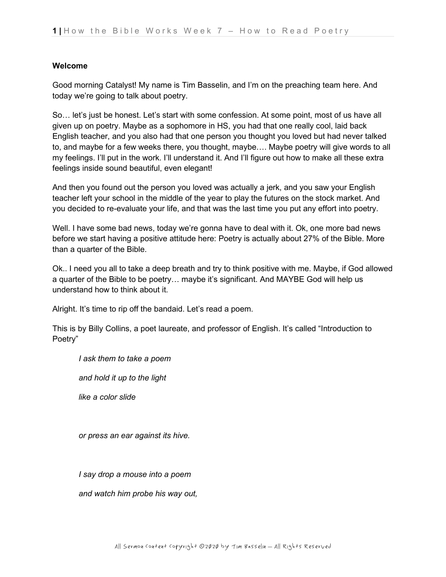#### **Welcome**

Good morning Catalyst! My name is Tim Basselin, and I'm on the preaching team here. And today we're going to talk about poetry.

So… let's just be honest. Let's start with some confession. At some point, most of us have all given up on poetry. Maybe as a sophomore in HS, you had that one really cool, laid back English teacher, and you also had that one person you thought you loved but had never talked to, and maybe for a few weeks there, you thought, maybe…. Maybe poetry will give words to all my feelings. I'll put in the work. I'll understand it. And I'll figure out how to make all these extra feelings inside sound beautiful, even elegant!

And then you found out the person you loved was actually a jerk, and you saw your English teacher left your school in the middle of the year to play the futures on the stock market. And you decided to re-evaluate your life, and that was the last time you put any effort into poetry.

Well. I have some bad news, today we're gonna have to deal with it. Ok, one more bad news before we start having a positive attitude here: Poetry is actually about 27% of the Bible. More than a quarter of the Bible.

Ok.. I need you all to take a deep breath and try to think positive with me. Maybe, if God allowed a quarter of the Bible to be poetry… maybe it's significant. And MAYBE God will help us understand how to think about it.

Alright. It's time to rip off the bandaid. Let's read a poem.

This is by Billy Collins, a poet laureate, and professor of English. It's called "Introduction to Poetry"

*I ask them to take a poem*

*and hold it up to the light*

*like a color slide*

*or press an ear against its hive.*

*I say drop a mouse into a poem*

*and watch him probe his way out,*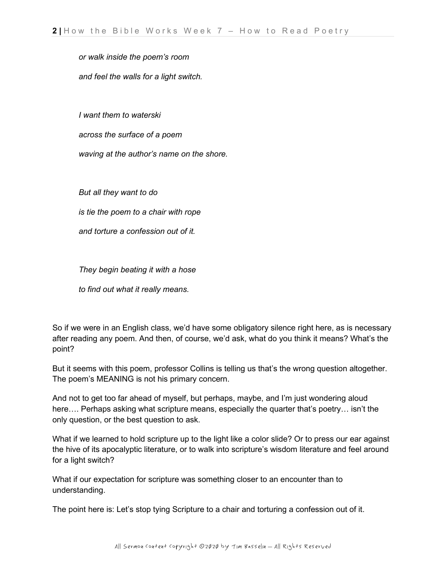*or walk inside the poem's room*

*and feel the walls for a light switch.*

*I want them to waterski*

*across the surface of a poem*

*waving at the author's name on the shore.*

*But all they want to do*

*is tie the poem to a chair with rope*

*and torture a confession out of it.*

*They begin beating it with a hose*

*to find out what it really means.*

So if we were in an English class, we'd have some obligatory silence right here, as is necessary after reading any poem. And then, of course, we'd ask, what do you think it means? What's the point?

But it seems with this poem, professor Collins is telling us that's the wrong question altogether. The poem's MEANING is not his primary concern.

And not to get too far ahead of myself, but perhaps, maybe, and I'm just wondering aloud here…. Perhaps asking what scripture means, especially the quarter that's poetry… isn't the only question, or the best question to ask.

What if we learned to hold scripture up to the light like a color slide? Or to press our ear against the hive of its apocalyptic literature, or to walk into scripture's wisdom literature and feel around for a light switch?

What if our expectation for scripture was something closer to an encounter than to understanding.

The point here is: Let's stop tying Scripture to a chair and torturing a confession out of it.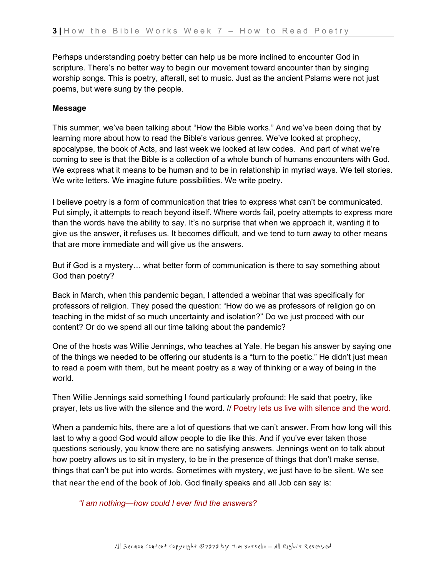Perhaps understanding poetry better can help us be more inclined to encounter God in scripture. There's no better way to begin our movement toward encounter than by singing worship songs. This is poetry, afterall, set to music. Just as the ancient Pslams were not just poems, but were sung by the people.

## **Message**

This summer, we've been talking about "How the Bible works." And we've been doing that by learning more about how to read the Bible's various genres. We've looked at prophecy, apocalypse, the book of Acts, and last week we looked at law codes. And part of what we're coming to see is that the Bible is a collection of a whole bunch of humans encounters with God. We express what it means to be human and to be in relationship in myriad ways. We tell stories. We write letters. We imagine future possibilities. We write poetry.

I believe poetry is a form of communication that tries to express what can't be communicated. Put simply, it attempts to reach beyond itself. Where words fail, poetry attempts to express more than the words have the ability to say. It's no surprise that when we approach it, wanting it to give us the answer, it refuses us. It becomes difficult, and we tend to turn away to other means that are more immediate and will give us the answers.

But if God is a mystery… what better form of communication is there to say something about God than poetry?

Back in March, when this pandemic began, I attended a webinar that was specifically for professors of religion. They posed the question: "How do we as professors of religion go on teaching in the midst of so much uncertainty and isolation?" Do we just proceed with our content? Or do we spend all our time talking about the pandemic?

One of the hosts was Willie Jennings, who teaches at Yale. He began his answer by saying one of the things we needed to be offering our students is a "turn to the poetic." He didn't just mean to read a poem with them, but he meant poetry as a way of thinking or a way of being in the world.

Then Willie Jennings said something I found particularly profound: He said that poetry, like prayer, lets us live with the silence and the word. // Poetry lets us live with silence and the word.

When a pandemic hits, there are a lot of questions that we can't answer. From how long will this last to why a good God would allow people to die like this. And if you've ever taken those questions seriously, you know there are no satisfying answers. Jennings went on to talk about how poetry allows us to sit in mystery, to be in the presence of things that don't make sense, things that can't be put into words. Sometimes with mystery, we just have to be silent. We see that near the end of the book of Job. God finally speaks and all Job can say is:

*"I am nothing—how could I ever find the answers?*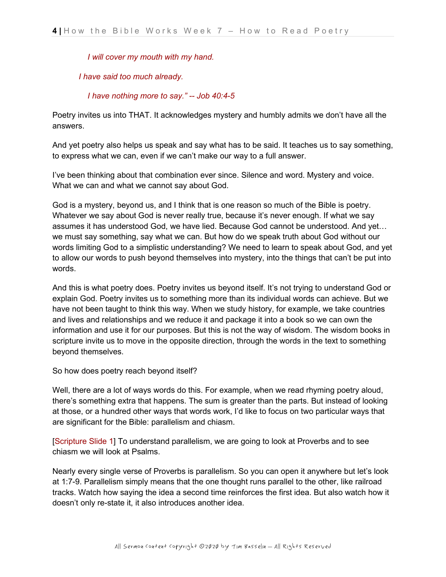*I will cover my mouth with my hand.*

*I have said too much already.*

 *I have nothing more to say." -- Job 40:4-5*

Poetry invites us into THAT. It acknowledges mystery and humbly admits we don't have all the answers.

And yet poetry also helps us speak and say what has to be said. It teaches us to say something, to express what we can, even if we can't make our way to a full answer.

I've been thinking about that combination ever since. Silence and word. Mystery and voice. What we can and what we cannot say about God.

God is a mystery, beyond us, and I think that is one reason so much of the Bible is poetry. Whatever we say about God is never really true, because it's never enough. If what we say assumes it has understood God, we have lied. Because God cannot be understood. And yet… we must say something, say what we can. But how do we speak truth about God without our words limiting God to a simplistic understanding? We need to learn to speak about God, and yet to allow our words to push beyond themselves into mystery, into the things that can't be put into words.

And this is what poetry does. Poetry invites us beyond itself. It's not trying to understand God or explain God. Poetry invites us to something more than its individual words can achieve. But we have not been taught to think this way. When we study history, for example, we take countries and lives and relationships and we reduce it and package it into a book so we can own the information and use it for our purposes. But this is not the way of wisdom. The wisdom books in scripture invite us to move in the opposite direction, through the words in the text to something beyond themselves.

So how does poetry reach beyond itself?

Well, there are a lot of ways words do this. For example, when we read rhyming poetry aloud, there's something extra that happens. The sum is greater than the parts. But instead of looking at those, or a hundred other ways that words work, I'd like to focus on two particular ways that are significant for the Bible: parallelism and chiasm.

[Scripture Slide 1] To understand parallelism, we are going to look at Proverbs and to see chiasm we will look at Psalms.

Nearly every single verse of Proverbs is parallelism. So you can open it anywhere but let's look at 1:7-9. Parallelism simply means that the one thought runs parallel to the other, like railroad tracks. Watch how saying the idea a second time reinforces the first idea. But also watch how it doesn't only re-state it, it also introduces another idea.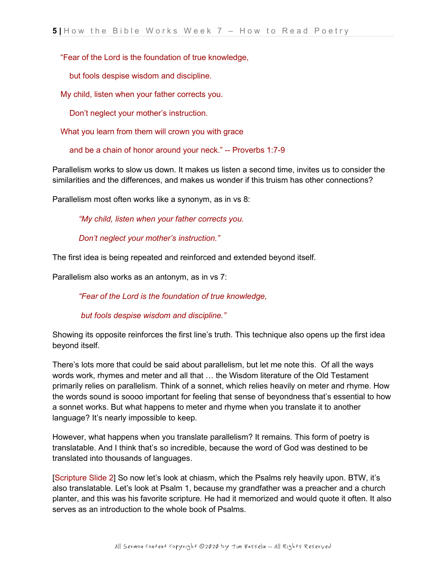## "Fear of the Lord is the foundation of true knowledge,

but fools despise wisdom and discipline.

My child, listen when your father corrects you.

Don't neglect your mother's instruction.

What you learn from them will crown you with grace

and be a chain of honor around your neck." -- Proverbs 1:7-9

Parallelism works to slow us down. It makes us listen a second time, invites us to consider the similarities and the differences, and makes us wonder if this truism has other connections?

Parallelism most often works like a synonym, as in vs 8:

*"My child, listen when your father corrects you.*

 *Don't neglect your mother's instruction."*

The first idea is being repeated and reinforced and extended beyond itself.

Parallelism also works as an antonym, as in vs 7:

*"Fear of the Lord is the foundation of true knowledge,*

*but fools despise wisdom and discipline."*

Showing its opposite reinforces the first line's truth. This technique also opens up the first idea beyond itself.

There's lots more that could be said about parallelism, but let me note this. Of all the ways words work, rhymes and meter and all that … the Wisdom literature of the Old Testament primarily relies on parallelism. Think of a sonnet, which relies heavily on meter and rhyme. How the words sound is soooo important for feeling that sense of beyondness that's essential to how a sonnet works. But what happens to meter and rhyme when you translate it to another language? It's nearly impossible to keep.

However, what happens when you translate parallelism? It remains. This form of poetry is translatable. And I think that's so incredible, because the word of God was destined to be translated into thousands of languages.

[Scripture Slide 2] So now let's look at chiasm, which the Psalms rely heavily upon. BTW, it's also translatable. Let's look at Psalm 1, because my grandfather was a preacher and a church planter, and this was his favorite scripture. He had it memorized and would quote it often. It also serves as an introduction to the whole book of Psalms.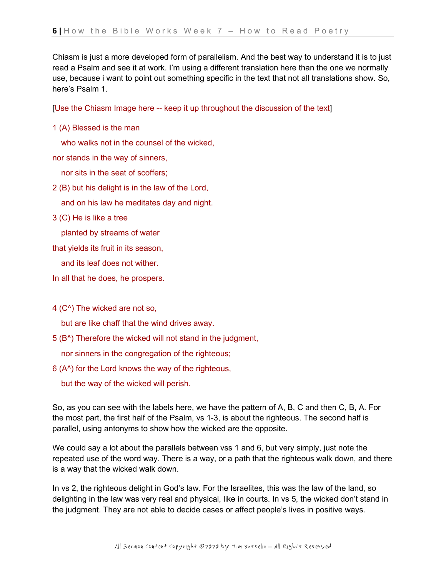Chiasm is just a more developed form of parallelism. And the best way to understand it is to just read a Psalm and see it at work. I'm using a different translation here than the one we normally use, because i want to point out something specific in the text that not all translations show. So, here's Psalm 1.

[Use the Chiasm Image here -- keep it up throughout the discussion of the text]

1 (A) Blessed is the man

who walks not in the counsel of the wicked,

nor stands in the way of sinners,

nor sits in the seat of scoffers;

2 (B) but his delight is in the law of the Lord,

and on his law he meditates day and night.

3 (C) He is like a tree

planted by streams of water

that yields its fruit in its season,

and its leaf does not wither.

In all that he does, he prospers.

4 (C^) The wicked are not so,

but are like chaff that the wind drives away.

5 (B^) Therefore the wicked will not stand in the judgment,

nor sinners in the congregation of the righteous;

6 (A^) for the Lord knows the way of the righteous,

but the way of the wicked will perish.

So, as you can see with the labels here, we have the pattern of A, B, C and then C, B, A. For the most part, the first half of the Psalm, vs 1-3, is about the righteous. The second half is parallel, using antonyms to show how the wicked are the opposite.

We could say a lot about the parallels between vss 1 and 6, but very simply, just note the repeated use of the word way. There is a way, or a path that the righteous walk down, and there is a way that the wicked walk down.

In vs 2, the righteous delight in God's law. For the Israelites, this was the law of the land, so delighting in the law was very real and physical, like in courts. In vs 5, the wicked don't stand in the judgment. They are not able to decide cases or affect people's lives in positive ways.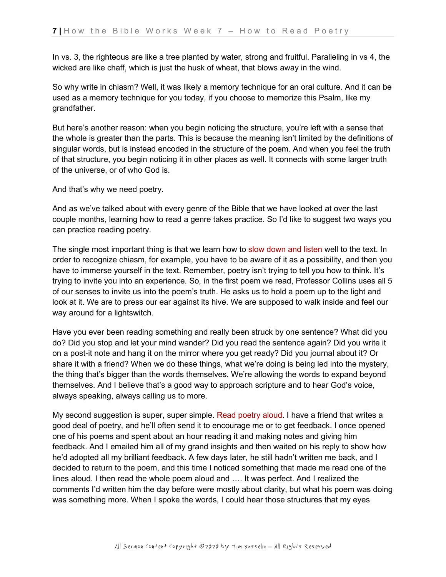In vs. 3, the righteous are like a tree planted by water, strong and fruitful. Paralleling in vs 4, the wicked are like chaff, which is just the husk of wheat, that blows away in the wind.

So why write in chiasm? Well, it was likely a memory technique for an oral culture. And it can be used as a memory technique for you today, if you choose to memorize this Psalm, like my grandfather.

But here's another reason: when you begin noticing the structure, you're left with a sense that the whole is greater than the parts. This is because the meaning isn't limited by the definitions of singular words, but is instead encoded in the structure of the poem. And when you feel the truth of that structure, you begin noticing it in other places as well. It connects with some larger truth of the universe, or of who God is.

And that's why we need poetry.

And as we've talked about with every genre of the Bible that we have looked at over the last couple months, learning how to read a genre takes practice. So I'd like to suggest two ways you can practice reading poetry.

The single most important thing is that we learn how to slow down and listen well to the text. In order to recognize chiasm, for example, you have to be aware of it as a possibility, and then you have to immerse yourself in the text. Remember, poetry isn't trying to tell you how to think. It's trying to invite you into an experience. So, in the first poem we read, Professor Collins uses all 5 of our senses to invite us into the poem's truth. He asks us to hold a poem up to the light and look at it. We are to press our ear against its hive. We are supposed to walk inside and feel our way around for a lightswitch.

Have you ever been reading something and really been struck by one sentence? What did you do? Did you stop and let your mind wander? Did you read the sentence again? Did you write it on a post-it note and hang it on the mirror where you get ready? Did you journal about it? Or share it with a friend? When we do these things, what we're doing is being led into the mystery, the thing that's bigger than the words themselves. We're allowing the words to expand beyond themselves. And I believe that's a good way to approach scripture and to hear God's voice, always speaking, always calling us to more.

My second suggestion is super, super simple. Read poetry aloud. I have a friend that writes a good deal of poetry, and he'll often send it to encourage me or to get feedback. I once opened one of his poems and spent about an hour reading it and making notes and giving him feedback. And I emailed him all of my grand insights and then waited on his reply to show how he'd adopted all my brilliant feedback. A few days later, he still hadn't written me back, and I decided to return to the poem, and this time I noticed something that made me read one of the lines aloud. I then read the whole poem aloud and …. It was perfect. And I realized the comments I'd written him the day before were mostly about clarity, but what his poem was doing was something more. When I spoke the words, I could hear those structures that my eyes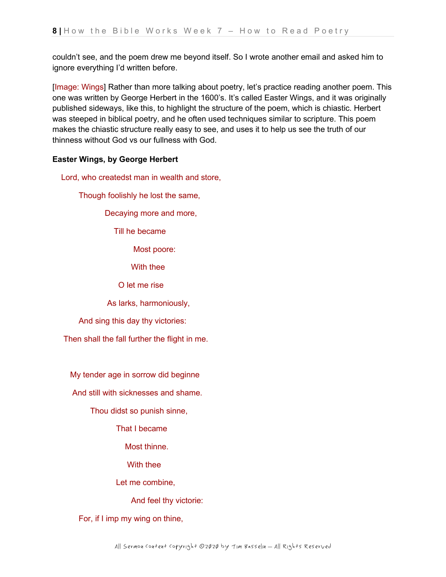couldn't see, and the poem drew me beyond itself. So I wrote another email and asked him to ignore everything I'd written before.

[Image: Wings] Rather than more talking about poetry, let's practice reading another poem. This one was written by George Herbert in the 1600's. It's called Easter Wings, and it was originally published sideways, like this, to highlight the structure of the poem, which is chiastic. Herbert was steeped in biblical poetry, and he often used techniques similar to scripture. This poem makes the chiastic structure really easy to see, and uses it to help us see the truth of our thinness without God vs our fullness with God.

# **Easter Wings, by George Herbert**

Lord, who createdst man in wealth and store,

Though foolishly he lost the same,

Decaying more and more,

Till he became

Most poore:

With thee

O let me rise

As larks, harmoniously,

And sing this day thy victories:

Then shall the fall further the flight in me.

My tender age in sorrow did beginne

And still with sicknesses and shame.

Thou didst so punish sinne,

That I became

Most thinne.

With thee

Let me combine,

And feel thy victorie:

For, if I imp my wing on thine,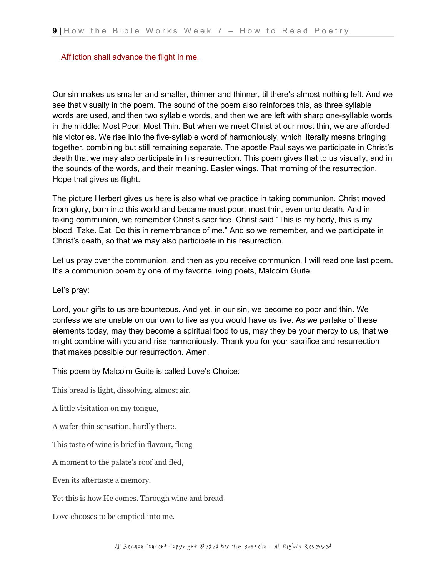#### Affliction shall advance the flight in me.

Our sin makes us smaller and smaller, thinner and thinner, til there's almost nothing left. And we see that visually in the poem. The sound of the poem also reinforces this, as three syllable words are used, and then two syllable words, and then we are left with sharp one-syllable words in the middle: Most Poor, Most Thin. But when we meet Christ at our most thin, we are afforded his victories. We rise into the five-syllable word of harmoniously, which literally means bringing together, combining but still remaining separate. The apostle Paul says we participate in Christ's death that we may also participate in his resurrection. This poem gives that to us visually, and in the sounds of the words, and their meaning. Easter wings. That morning of the resurrection. Hope that gives us flight.

The picture Herbert gives us here is also what we practice in taking communion. Christ moved from glory, born into this world and became most poor, most thin, even unto death. And in taking communion, we remember Christ's sacrifice. Christ said "This is my body, this is my blood. Take. Eat. Do this in remembrance of me." And so we remember, and we participate in Christ's death, so that we may also participate in his resurrection.

Let us pray over the communion, and then as you receive communion, I will read one last poem. It's a communion poem by one of my favorite living poets, Malcolm Guite.

Let's pray:

Lord, your gifts to us are bounteous. And yet, in our sin, we become so poor and thin. We confess we are unable on our own to live as you would have us live. As we partake of these elements today, may they become a spiritual food to us, may they be your mercy to us, that we might combine with you and rise harmoniously. Thank you for your sacrifice and resurrection that makes possible our resurrection. Amen.

This poem by Malcolm Guite is called Love's Choice:

This bread is light, dissolving, almost air,

A little visitation on my tongue,

A wafer-thin sensation, hardly there.

This taste of wine is brief in flavour, flung

A moment to the palate's roof and fled,

Even its aftertaste a memory.

Yet this is how He comes. Through wine and bread

Love chooses to be emptied into me.